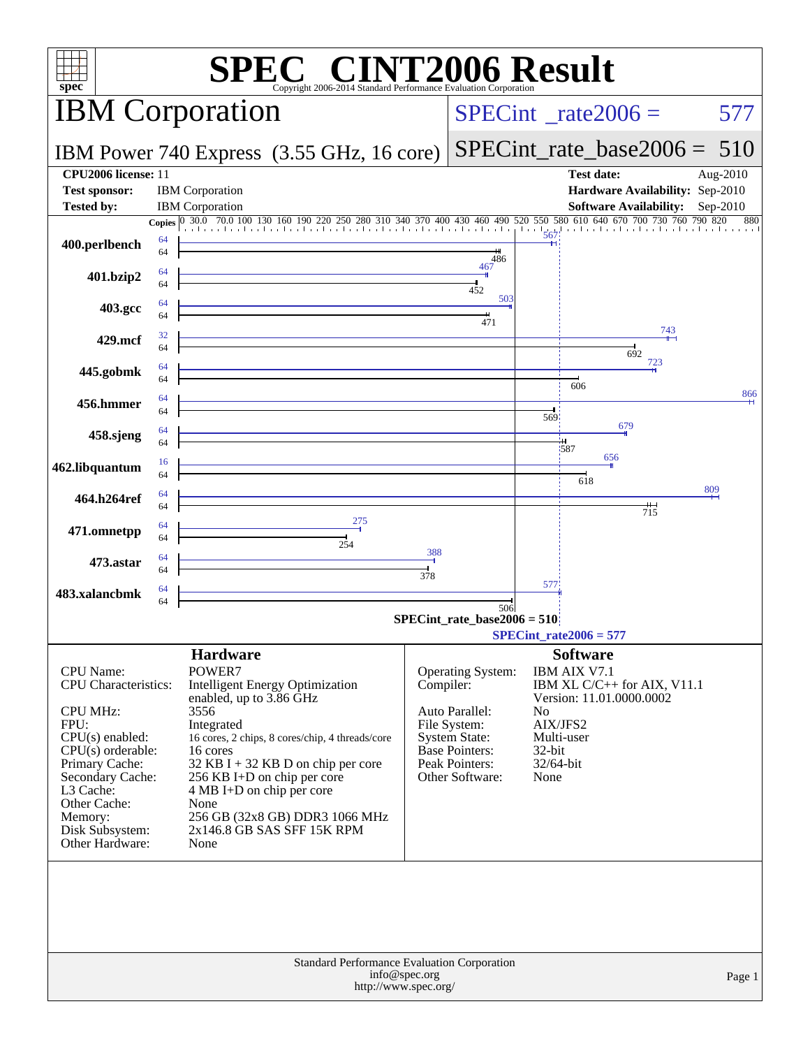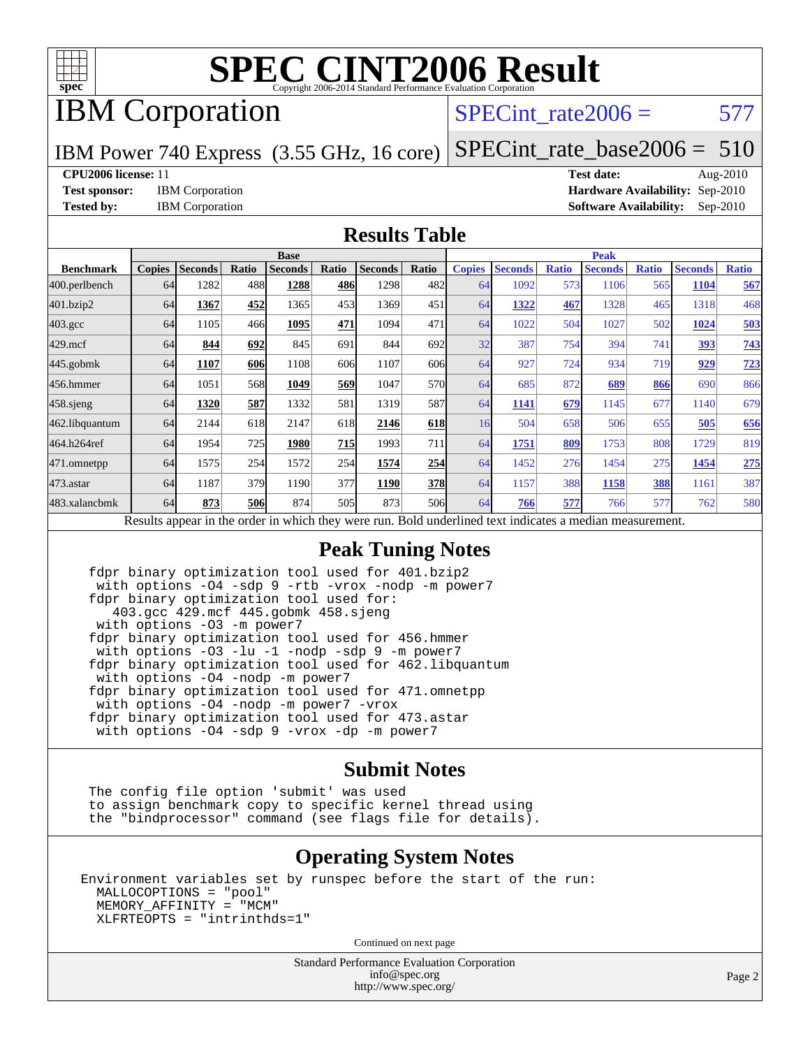

# IBM Corporation

## SPECint rate $2006 = 577$

IBM Power 740 Express (3.55 GHz, 16 core)

[SPECint\\_rate\\_base2006 =](http://www.spec.org/auto/cpu2006/Docs/result-fields.html#SPECintratebase2006)  $510$ 

**[CPU2006 license:](http://www.spec.org/auto/cpu2006/Docs/result-fields.html#CPU2006license)** 11 **[Test date:](http://www.spec.org/auto/cpu2006/Docs/result-fields.html#Testdate)** Aug-2010 **[Test sponsor:](http://www.spec.org/auto/cpu2006/Docs/result-fields.html#Testsponsor)** IBM Corporation **[Hardware Availability:](http://www.spec.org/auto/cpu2006/Docs/result-fields.html#HardwareAvailability)** Sep-2010 **[Tested by:](http://www.spec.org/auto/cpu2006/Docs/result-fields.html#Testedby)** IBM Corporation **[Software Availability:](http://www.spec.org/auto/cpu2006/Docs/result-fields.html#SoftwareAvailability)** Sep-2010

#### **[Results Table](http://www.spec.org/auto/cpu2006/Docs/result-fields.html#ResultsTable)**

|                                                                                                          | <b>Base</b>   |                |       |                |       |                |            | <b>Peak</b>   |                |              |                |              |                |              |
|----------------------------------------------------------------------------------------------------------|---------------|----------------|-------|----------------|-------|----------------|------------|---------------|----------------|--------------|----------------|--------------|----------------|--------------|
| <b>Benchmark</b>                                                                                         | <b>Copies</b> | <b>Seconds</b> | Ratio | <b>Seconds</b> | Ratio | <b>Seconds</b> | Ratio      | <b>Copies</b> | <b>Seconds</b> | <b>Ratio</b> | <b>Seconds</b> | <b>Ratio</b> | <b>Seconds</b> | <b>Ratio</b> |
| 400.perlbench                                                                                            | 64            | 1282           | 488   | 1288           | 486   | 1298           | 482l       | 64            | 1092           | 573          | 1106           | 565          | 1104           | 567          |
| 401.bzip2                                                                                                | 64            | 1367           | 452   | 1365           | 453   | 1369           | 451        | 64            | 1322           | 467          | 1328           | 465          | 1318           | 468          |
| $403.\mathrm{gcc}$                                                                                       | 64            | 1105           | 466   | 1095           | 471   | 1094           | 471        | 64            | 1022           | 504          | 1027           | 502          | 1024           | 503          |
| $429$ .mcf                                                                                               | 64            | 844            | 692   | 845            | 691   | 844            | 692        | 32            | 387            | 754          | 394            | 741          | 393            | 743          |
| $445$ .gobmk                                                                                             | 64            | 1107           | 606   | 1108           | 606   | 1107           | 606        | 64            | 927            | 724          | 934            | 719          | 929            | 723          |
| 456.hmmer                                                                                                | 64            | 1051           | 568   | 1049           | 569   | 1047           | 570l       | 64            | 685            | 872          | 689            | 866          | 690            | 866          |
| $458$ .sjeng                                                                                             | 64            | 1320           | 587   | 1332           | 581   | 1319           | 587l       | 64            | 1141           | 679          | 1145           | 677          | 1140           | 679          |
| 462.libquantum                                                                                           | 64            | 2144           | 618   | 2147           | 618   | 2146           | 618        | 16            | 504            | 658          | 506            | 655          | 505            | 656          |
| 464.h264ref                                                                                              | 64            | 1954           | 725   | 1980           | 715   | 1993           | 711        | 64            | 1751           | 809          | 1753           | 808          | 1729           | 819          |
| 471.omnetpp                                                                                              | 64            | 1575           | 254   | 1572           | 254   | 1574           | 254        | 64            | 1452           | 276          | 1454           | 275          | 1454           | 275          |
| $473$ . astar                                                                                            | 64            | 1187           | 379   | 1190           | 377   | 1190           | <b>378</b> | 64            | 1157           | 388          | 1158           | 388          | 1161           | 387          |
| 483.xalancbmk                                                                                            | 64            | 873            | 506   | 874            | 505   | 873            | 506        | 64            | 766            | 577          | 766            | 577          | 762            | 580          |
| Results appear in the order in which they were run. Bold underlined text indicates a median measurement. |               |                |       |                |       |                |            |               |                |              |                |              |                |              |

#### **[Peak Tuning Notes](http://www.spec.org/auto/cpu2006/Docs/result-fields.html#PeakTuningNotes)**

 fdpr binary optimization tool used for 401.bzip2 with options -O4 -sdp 9 -rtb -vrox -nodp -m power7 fdpr binary optimization tool used for: 403.gcc 429.mcf 445.gobmk 458.sjeng with options -O3 -m power7 fdpr binary optimization tool used for 456.hmmer with options -O3 -lu -1 -nodp -sdp 9 -m power7 fdpr binary optimization tool used for 462.libquantum with options -O4 -nodp -m power7 fdpr binary optimization tool used for 471.omnetpp with options -O4 -nodp -m power7 -vrox fdpr binary optimization tool used for 473.astar with options -O4 -sdp 9 -vrox -dp -m power7

#### **[Submit Notes](http://www.spec.org/auto/cpu2006/Docs/result-fields.html#SubmitNotes)**

 The config file option 'submit' was used to assign benchmark copy to specific kernel thread using the "bindprocessor" command (see flags file for details).

#### **[Operating System Notes](http://www.spec.org/auto/cpu2006/Docs/result-fields.html#OperatingSystemNotes)**

Environment variables set by runspec before the start of the run: MALLOCOPTIONS = "pool" MEMORY\_AFFINITY = "MCM" XLFRTEOPTS = "intrinthds=1"

Continued on next page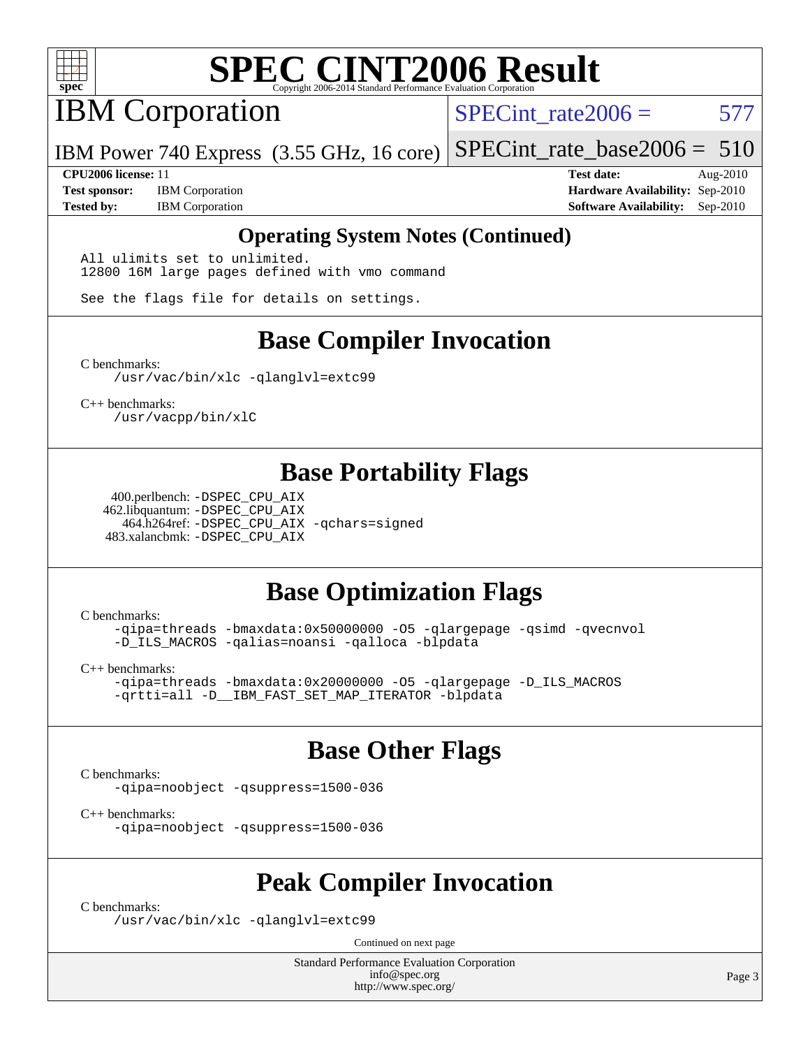

IBM Corporation

SPECint rate $2006 = 577$ 

IBM Power 740 Express (3.55 GHz, 16 core) [SPECint\\_rate\\_base2006 =](http://www.spec.org/auto/cpu2006/Docs/result-fields.html#SPECintratebase2006)  $510$ 

**[CPU2006 license:](http://www.spec.org/auto/cpu2006/Docs/result-fields.html#CPU2006license)** 11 **[Test date:](http://www.spec.org/auto/cpu2006/Docs/result-fields.html#Testdate)** Aug-2010 **[Test sponsor:](http://www.spec.org/auto/cpu2006/Docs/result-fields.html#Testsponsor)** IBM Corporation **[Hardware Availability:](http://www.spec.org/auto/cpu2006/Docs/result-fields.html#HardwareAvailability)** Sep-2010 **[Tested by:](http://www.spec.org/auto/cpu2006/Docs/result-fields.html#Testedby)** IBM Corporation **[Software Availability:](http://www.spec.org/auto/cpu2006/Docs/result-fields.html#SoftwareAvailability)** Sep-2010

#### **[Operating System Notes \(Continued\)](http://www.spec.org/auto/cpu2006/Docs/result-fields.html#OperatingSystemNotes)**

All ulimits set to unlimited. 12800 16M large pages defined with vmo command

See the flags file for details on settings.

## **[Base Compiler Invocation](http://www.spec.org/auto/cpu2006/Docs/result-fields.html#BaseCompilerInvocation)**

[C benchmarks](http://www.spec.org/auto/cpu2006/Docs/result-fields.html#Cbenchmarks):

[/usr/vac/bin/xlc](http://www.spec.org/cpu2006/results/res2010q3/cpu2006-20100817-12970.flags.html#user_CCbase_xlc_65f0db84ba48bcd0ca5f8f08bd8e83b9) [-qlanglvl=extc99](http://www.spec.org/cpu2006/results/res2010q3/cpu2006-20100817-12970.flags.html#user_CCbase_F-qlanglvl:extc99)

[C++ benchmarks:](http://www.spec.org/auto/cpu2006/Docs/result-fields.html#CXXbenchmarks) [/usr/vacpp/bin/xlC](http://www.spec.org/cpu2006/results/res2010q3/cpu2006-20100817-12970.flags.html#user_CXXbase_xlC_71b0a4ef5ef679d5dfc4910648efff67)

### **[Base Portability Flags](http://www.spec.org/auto/cpu2006/Docs/result-fields.html#BasePortabilityFlags)**

 400.perlbench: [-DSPEC\\_CPU\\_AIX](http://www.spec.org/cpu2006/results/res2010q3/cpu2006-20100817-12970.flags.html#b400.perlbench_baseCPORTABILITY_DSPEC_CPU_AIX) 462.libquantum: [-DSPEC\\_CPU\\_AIX](http://www.spec.org/cpu2006/results/res2010q3/cpu2006-20100817-12970.flags.html#b462.libquantum_baseCPORTABILITY_DSPEC_CPU_AIX) 464.h264ref: [-DSPEC\\_CPU\\_AIX](http://www.spec.org/cpu2006/results/res2010q3/cpu2006-20100817-12970.flags.html#b464.h264ref_baseCPORTABILITY_DSPEC_CPU_AIX) [-qchars=signed](http://www.spec.org/cpu2006/results/res2010q3/cpu2006-20100817-12970.flags.html#user_baseCPORTABILITY464_h264ref_F-qchars:signed) 483.xalancbmk: [-DSPEC\\_CPU\\_AIX](http://www.spec.org/cpu2006/results/res2010q3/cpu2006-20100817-12970.flags.html#b483.xalancbmk_baseCXXPORTABILITY_DSPEC_CPU_AIX)

# **[Base Optimization Flags](http://www.spec.org/auto/cpu2006/Docs/result-fields.html#BaseOptimizationFlags)**

[C benchmarks](http://www.spec.org/auto/cpu2006/Docs/result-fields.html#Cbenchmarks):

[-qipa=threads](http://www.spec.org/cpu2006/results/res2010q3/cpu2006-20100817-12970.flags.html#user_CCbase_F-qipa:threads_603896b7ba2615a272e7bb50a99fbe27) [-bmaxdata:0x50000000](http://www.spec.org/cpu2006/results/res2010q3/cpu2006-20100817-12970.flags.html#user_CCbase_F-bmaxdata_e939c1e3ce194adb74b865c7e0f9aa8a) [-O5](http://www.spec.org/cpu2006/results/res2010q3/cpu2006-20100817-12970.flags.html#user_CCbase_F-O5_c247b43c34dbf7164d22e1dc7d84032c) [-qlargepage](http://www.spec.org/cpu2006/results/res2010q3/cpu2006-20100817-12970.flags.html#user_CCbase_F-qlargepage) [-qsimd](http://www.spec.org/cpu2006/results/res2010q3/cpu2006-20100817-12970.flags.html#user_CCbase_F-qsimd_a8e99c5325f711308b07d2b72634c9bd) [-qvecnvol](http://www.spec.org/cpu2006/results/res2010q3/cpu2006-20100817-12970.flags.html#user_CCbase_F-qvecnvol) [-D\\_ILS\\_MACROS](http://www.spec.org/cpu2006/results/res2010q3/cpu2006-20100817-12970.flags.html#user_CCbase_F-D_ILS_MACROS) [-qalias=noansi](http://www.spec.org/cpu2006/results/res2010q3/cpu2006-20100817-12970.flags.html#user_CCbase_F-qalias_d4651b1508cf3a15da259e82b527180c) [-qalloca](http://www.spec.org/cpu2006/results/res2010q3/cpu2006-20100817-12970.flags.html#user_CCbase_F-qalloca) [-blpdata](http://www.spec.org/cpu2006/results/res2010q3/cpu2006-20100817-12970.flags.html#user_CCbase_F-blpdata)

[C++ benchmarks:](http://www.spec.org/auto/cpu2006/Docs/result-fields.html#CXXbenchmarks)

[-qipa=threads](http://www.spec.org/cpu2006/results/res2010q3/cpu2006-20100817-12970.flags.html#user_CXXbase_F-qipa:threads_603896b7ba2615a272e7bb50a99fbe27) [-bmaxdata:0x20000000](http://www.spec.org/cpu2006/results/res2010q3/cpu2006-20100817-12970.flags.html#user_CXXbase_F-bmaxdata_d044a9072ff4d8b4577a1555c18c0756) [-O5](http://www.spec.org/cpu2006/results/res2010q3/cpu2006-20100817-12970.flags.html#user_CXXbase_F-O5_c247b43c34dbf7164d22e1dc7d84032c) [-qlargepage](http://www.spec.org/cpu2006/results/res2010q3/cpu2006-20100817-12970.flags.html#user_CXXbase_F-qlargepage) [-D\\_ILS\\_MACROS](http://www.spec.org/cpu2006/results/res2010q3/cpu2006-20100817-12970.flags.html#user_CXXbase_F-D_ILS_MACROS) [-qrtti=all](http://www.spec.org/cpu2006/results/res2010q3/cpu2006-20100817-12970.flags.html#user_CXXbase_F-qrtti:all) [-D\\_\\_IBM\\_FAST\\_SET\\_MAP\\_ITERATOR](http://www.spec.org/cpu2006/results/res2010q3/cpu2006-20100817-12970.flags.html#user_CXXbase_F-D__IBM_FAST_SET_MAP_ITERATOR) [-blpdata](http://www.spec.org/cpu2006/results/res2010q3/cpu2006-20100817-12970.flags.html#user_CXXbase_F-blpdata)

### **[Base Other Flags](http://www.spec.org/auto/cpu2006/Docs/result-fields.html#BaseOtherFlags)**

[C benchmarks](http://www.spec.org/auto/cpu2006/Docs/result-fields.html#Cbenchmarks):

[-qipa=noobject](http://www.spec.org/cpu2006/results/res2010q3/cpu2006-20100817-12970.flags.html#user_CCbase_F-qipa:noobject_31d1c31721dc68bbebcc4af4e4e5db81) [-qsuppress=1500-036](http://www.spec.org/cpu2006/results/res2010q3/cpu2006-20100817-12970.flags.html#user_CCbase_F-qsuppress:_a26be8fef57dc56862d3797b725f60c7)

[C++ benchmarks:](http://www.spec.org/auto/cpu2006/Docs/result-fields.html#CXXbenchmarks)

[-qipa=noobject](http://www.spec.org/cpu2006/results/res2010q3/cpu2006-20100817-12970.flags.html#user_CXXbase_F-qipa:noobject_31d1c31721dc68bbebcc4af4e4e5db81) [-qsuppress=1500-036](http://www.spec.org/cpu2006/results/res2010q3/cpu2006-20100817-12970.flags.html#user_CXXbase_F-qsuppress:_a26be8fef57dc56862d3797b725f60c7)

### **[Peak Compiler Invocation](http://www.spec.org/auto/cpu2006/Docs/result-fields.html#PeakCompilerInvocation)**

[C benchmarks](http://www.spec.org/auto/cpu2006/Docs/result-fields.html#Cbenchmarks):

[/usr/vac/bin/xlc](http://www.spec.org/cpu2006/results/res2010q3/cpu2006-20100817-12970.flags.html#user_CCpeak_xlc_65f0db84ba48bcd0ca5f8f08bd8e83b9) [-qlanglvl=extc99](http://www.spec.org/cpu2006/results/res2010q3/cpu2006-20100817-12970.flags.html#user_CCpeak_F-qlanglvl:extc99)

Continued on next page

Standard Performance Evaluation Corporation [info@spec.org](mailto:info@spec.org) <http://www.spec.org/>

Page 3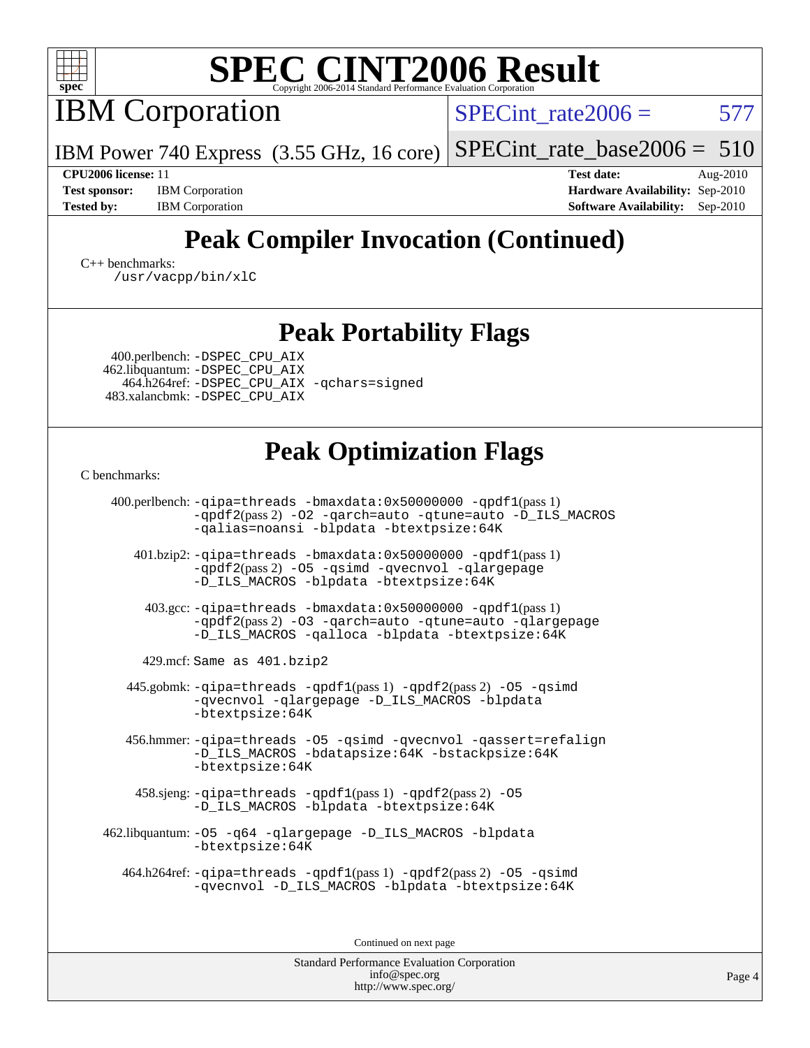

IBM Corporation

SPECint rate $2006 = 577$ 

[SPECint\\_rate\\_base2006 =](http://www.spec.org/auto/cpu2006/Docs/result-fields.html#SPECintratebase2006)  $510$ 

**[Test sponsor:](http://www.spec.org/auto/cpu2006/Docs/result-fields.html#Testsponsor)** IBM Corporation **[Hardware Availability:](http://www.spec.org/auto/cpu2006/Docs/result-fields.html#HardwareAvailability)** Sep-2010

**[CPU2006 license:](http://www.spec.org/auto/cpu2006/Docs/result-fields.html#CPU2006license)** 11 **[Test date:](http://www.spec.org/auto/cpu2006/Docs/result-fields.html#Testdate)** Aug-2010 [Tested by:](http://www.spec.org/auto/cpu2006/Docs/result-fields.html#Testedby) IBM Corporation **[Software Availability:](http://www.spec.org/auto/cpu2006/Docs/result-fields.html#SoftwareAvailability)** Sep-2010

# **[Peak Compiler Invocation \(Continued\)](http://www.spec.org/auto/cpu2006/Docs/result-fields.html#PeakCompilerInvocation)**

[C++ benchmarks:](http://www.spec.org/auto/cpu2006/Docs/result-fields.html#CXXbenchmarks) [/usr/vacpp/bin/xlC](http://www.spec.org/cpu2006/results/res2010q3/cpu2006-20100817-12970.flags.html#user_CXXpeak_xlC_71b0a4ef5ef679d5dfc4910648efff67)

### **[Peak Portability Flags](http://www.spec.org/auto/cpu2006/Docs/result-fields.html#PeakPortabilityFlags)**

 400.perlbench: [-DSPEC\\_CPU\\_AIX](http://www.spec.org/cpu2006/results/res2010q3/cpu2006-20100817-12970.flags.html#b400.perlbench_peakCPORTABILITY_DSPEC_CPU_AIX) 462.libquantum: [-DSPEC\\_CPU\\_AIX](http://www.spec.org/cpu2006/results/res2010q3/cpu2006-20100817-12970.flags.html#b462.libquantum_peakCPORTABILITY_DSPEC_CPU_AIX) 464.h264ref: [-DSPEC\\_CPU\\_AIX](http://www.spec.org/cpu2006/results/res2010q3/cpu2006-20100817-12970.flags.html#b464.h264ref_peakCPORTABILITY_DSPEC_CPU_AIX) [-qchars=signed](http://www.spec.org/cpu2006/results/res2010q3/cpu2006-20100817-12970.flags.html#user_peakCPORTABILITY464_h264ref_F-qchars:signed) 483.xalancbmk: [-DSPEC\\_CPU\\_AIX](http://www.spec.org/cpu2006/results/res2010q3/cpu2006-20100817-12970.flags.html#b483.xalancbmk_peakCXXPORTABILITY_DSPEC_CPU_AIX)

IBM Power 740 Express (3.55 GHz, 16 core)

# **[Peak Optimization Flags](http://www.spec.org/auto/cpu2006/Docs/result-fields.html#PeakOptimizationFlags)**

[C benchmarks](http://www.spec.org/auto/cpu2006/Docs/result-fields.html#Cbenchmarks):

 400.perlbench: [-qipa=threads](http://www.spec.org/cpu2006/results/res2010q3/cpu2006-20100817-12970.flags.html#user_peakLDCFLAGS400_perlbench_F-qipa:threads_603896b7ba2615a272e7bb50a99fbe27) [-bmaxdata:0x50000000](http://www.spec.org/cpu2006/results/res2010q3/cpu2006-20100817-12970.flags.html#user_peakLDCFLAGS400_perlbench_F-bmaxdata_e939c1e3ce194adb74b865c7e0f9aa8a) [-qpdf1](http://www.spec.org/cpu2006/results/res2010q3/cpu2006-20100817-12970.flags.html#user_peakPASS1_CFLAGSPASS1_LDFLAGS400_perlbench_F-qpdf1)(pass 1) [-qpdf2](http://www.spec.org/cpu2006/results/res2010q3/cpu2006-20100817-12970.flags.html#user_peakPASS2_CFLAGSPASS2_LDFLAGS400_perlbench_F-qpdf2)(pass 2) [-O2](http://www.spec.org/cpu2006/results/res2010q3/cpu2006-20100817-12970.flags.html#user_peakOPTIMIZE400_perlbench_F-O2) [-qarch=auto](http://www.spec.org/cpu2006/results/res2010q3/cpu2006-20100817-12970.flags.html#user_peakOPTIMIZE400_perlbench_F-qarch_da57dfb59486beae658049400584956b) [-qtune=auto](http://www.spec.org/cpu2006/results/res2010q3/cpu2006-20100817-12970.flags.html#user_peakOPTIMIZE400_perlbench_F-qtune_2e3c53070484f255b4b77752b917d502) [-D\\_ILS\\_MACROS](http://www.spec.org/cpu2006/results/res2010q3/cpu2006-20100817-12970.flags.html#user_peakCOPTIMIZE400_perlbench_F-D_ILS_MACROS) [-qalias=noansi](http://www.spec.org/cpu2006/results/res2010q3/cpu2006-20100817-12970.flags.html#user_peakCOPTIMIZE400_perlbench_F-qalias_d4651b1508cf3a15da259e82b527180c) [-blpdata](http://www.spec.org/cpu2006/results/res2010q3/cpu2006-20100817-12970.flags.html#user_peakEXTRA_LDFLAGS400_perlbench_F-blpdata) [-btextpsize:64K](http://www.spec.org/cpu2006/results/res2010q3/cpu2006-20100817-12970.flags.html#user_peakEXTRA_LDFLAGS400_perlbench_F-btextpsize_915b2570bf0baabb03f1065583f9faaf) 401.bzip2: [-qipa=threads](http://www.spec.org/cpu2006/results/res2010q3/cpu2006-20100817-12970.flags.html#user_peakLDCFLAGS401_bzip2_F-qipa:threads_603896b7ba2615a272e7bb50a99fbe27) [-bmaxdata:0x50000000](http://www.spec.org/cpu2006/results/res2010q3/cpu2006-20100817-12970.flags.html#user_peakLDCFLAGS401_bzip2_F-bmaxdata_e939c1e3ce194adb74b865c7e0f9aa8a) [-qpdf1](http://www.spec.org/cpu2006/results/res2010q3/cpu2006-20100817-12970.flags.html#user_peakPASS1_CFLAGSPASS1_LDFLAGS401_bzip2_F-qpdf1)(pass 1) [-qpdf2](http://www.spec.org/cpu2006/results/res2010q3/cpu2006-20100817-12970.flags.html#user_peakPASS2_CFLAGSPASS2_LDFLAGS401_bzip2_F-qpdf2)(pass 2) [-O5](http://www.spec.org/cpu2006/results/res2010q3/cpu2006-20100817-12970.flags.html#user_peakOPTIMIZE401_bzip2_F-O5_c247b43c34dbf7164d22e1dc7d84032c) [-qsimd](http://www.spec.org/cpu2006/results/res2010q3/cpu2006-20100817-12970.flags.html#user_peakOPTIMIZE401_bzip2_F-qsimd_a8e99c5325f711308b07d2b72634c9bd) [-qvecnvol](http://www.spec.org/cpu2006/results/res2010q3/cpu2006-20100817-12970.flags.html#user_peakOPTIMIZE401_bzip2_F-qvecnvol) [-qlargepage](http://www.spec.org/cpu2006/results/res2010q3/cpu2006-20100817-12970.flags.html#user_peakOPTIMIZE401_bzip2_F-qlargepage) [-D\\_ILS\\_MACROS](http://www.spec.org/cpu2006/results/res2010q3/cpu2006-20100817-12970.flags.html#user_peakCOPTIMIZE401_bzip2_F-D_ILS_MACROS) [-blpdata](http://www.spec.org/cpu2006/results/res2010q3/cpu2006-20100817-12970.flags.html#user_peakEXTRA_LDFLAGS401_bzip2_F-blpdata) [-btextpsize:64K](http://www.spec.org/cpu2006/results/res2010q3/cpu2006-20100817-12970.flags.html#user_peakEXTRA_LDFLAGS401_bzip2_F-btextpsize_915b2570bf0baabb03f1065583f9faaf) 403.gcc: [-qipa=threads](http://www.spec.org/cpu2006/results/res2010q3/cpu2006-20100817-12970.flags.html#user_peakLDCFLAGS403_gcc_F-qipa:threads_603896b7ba2615a272e7bb50a99fbe27) [-bmaxdata:0x50000000](http://www.spec.org/cpu2006/results/res2010q3/cpu2006-20100817-12970.flags.html#user_peakLDCFLAGS403_gcc_F-bmaxdata_e939c1e3ce194adb74b865c7e0f9aa8a) [-qpdf1](http://www.spec.org/cpu2006/results/res2010q3/cpu2006-20100817-12970.flags.html#user_peakPASS1_CFLAGSPASS1_LDFLAGS403_gcc_F-qpdf1)(pass 1)

[-qpdf2](http://www.spec.org/cpu2006/results/res2010q3/cpu2006-20100817-12970.flags.html#user_peakPASS2_CFLAGSPASS2_LDFLAGS403_gcc_F-qpdf2)(pass 2) [-O3](http://www.spec.org/cpu2006/results/res2010q3/cpu2006-20100817-12970.flags.html#user_peakOPTIMIZE403_gcc_F-O3) [-qarch=auto](http://www.spec.org/cpu2006/results/res2010q3/cpu2006-20100817-12970.flags.html#user_peakOPTIMIZE403_gcc_F-qarch_da57dfb59486beae658049400584956b) [-qtune=auto](http://www.spec.org/cpu2006/results/res2010q3/cpu2006-20100817-12970.flags.html#user_peakOPTIMIZE403_gcc_F-qtune_2e3c53070484f255b4b77752b917d502) [-qlargepage](http://www.spec.org/cpu2006/results/res2010q3/cpu2006-20100817-12970.flags.html#user_peakOPTIMIZE403_gcc_F-qlargepage) [-D\\_ILS\\_MACROS](http://www.spec.org/cpu2006/results/res2010q3/cpu2006-20100817-12970.flags.html#user_peakCOPTIMIZE403_gcc_F-D_ILS_MACROS) [-qalloca](http://www.spec.org/cpu2006/results/res2010q3/cpu2006-20100817-12970.flags.html#user_peakCOPTIMIZE403_gcc_F-qalloca) [-blpdata](http://www.spec.org/cpu2006/results/res2010q3/cpu2006-20100817-12970.flags.html#user_peakEXTRA_LDFLAGS403_gcc_F-blpdata) [-btextpsize:64K](http://www.spec.org/cpu2006/results/res2010q3/cpu2006-20100817-12970.flags.html#user_peakEXTRA_LDFLAGS403_gcc_F-btextpsize_915b2570bf0baabb03f1065583f9faaf)

429.mcf: Same as 401.bzip2

445.gobmk:  $-qipa$ =threads  $-qpdf1(pass 1)$  $-qpdf1(pass 1)$  [-qpdf2](http://www.spec.org/cpu2006/results/res2010q3/cpu2006-20100817-12970.flags.html#user_peakPASS2_CFLAGSPASS2_LDFLAGS445_gobmk_F-qpdf2)(pass 2) -05 [-qsimd](http://www.spec.org/cpu2006/results/res2010q3/cpu2006-20100817-12970.flags.html#user_peakOPTIMIZE445_gobmk_F-qsimd_a8e99c5325f711308b07d2b72634c9bd) [-qvecnvol](http://www.spec.org/cpu2006/results/res2010q3/cpu2006-20100817-12970.flags.html#user_peakOPTIMIZE445_gobmk_F-qvecnvol) [-qlargepage](http://www.spec.org/cpu2006/results/res2010q3/cpu2006-20100817-12970.flags.html#user_peakOPTIMIZE445_gobmk_F-qlargepage) [-D\\_ILS\\_MACROS](http://www.spec.org/cpu2006/results/res2010q3/cpu2006-20100817-12970.flags.html#user_peakCOPTIMIZE445_gobmk_F-D_ILS_MACROS) [-blpdata](http://www.spec.org/cpu2006/results/res2010q3/cpu2006-20100817-12970.flags.html#user_peakEXTRA_LDFLAGS445_gobmk_F-blpdata) [-btextpsize:64K](http://www.spec.org/cpu2006/results/res2010q3/cpu2006-20100817-12970.flags.html#user_peakEXTRA_LDFLAGS445_gobmk_F-btextpsize_915b2570bf0baabb03f1065583f9faaf)

 456.hmmer: [-qipa=threads](http://www.spec.org/cpu2006/results/res2010q3/cpu2006-20100817-12970.flags.html#user_peakLDCFLAGS456_hmmer_F-qipa:threads_603896b7ba2615a272e7bb50a99fbe27) [-O5](http://www.spec.org/cpu2006/results/res2010q3/cpu2006-20100817-12970.flags.html#user_peakOPTIMIZE456_hmmer_F-O5_c247b43c34dbf7164d22e1dc7d84032c) [-qsimd](http://www.spec.org/cpu2006/results/res2010q3/cpu2006-20100817-12970.flags.html#user_peakOPTIMIZE456_hmmer_F-qsimd_a8e99c5325f711308b07d2b72634c9bd) [-qvecnvol](http://www.spec.org/cpu2006/results/res2010q3/cpu2006-20100817-12970.flags.html#user_peakOPTIMIZE456_hmmer_F-qvecnvol) [-qassert=refalign](http://www.spec.org/cpu2006/results/res2010q3/cpu2006-20100817-12970.flags.html#user_peakOPTIMIZE456_hmmer_F-qassert_3a98aa7c946e46b18a8aedd58e121a56) [-D\\_ILS\\_MACROS](http://www.spec.org/cpu2006/results/res2010q3/cpu2006-20100817-12970.flags.html#user_peakCOPTIMIZE456_hmmer_F-D_ILS_MACROS) [-bdatapsize:64K](http://www.spec.org/cpu2006/results/res2010q3/cpu2006-20100817-12970.flags.html#user_peakEXTRA_LDFLAGS456_hmmer_F-bdatapsize_138979d100b85f21cb267cdc631bd475) [-bstackpsize:64K](http://www.spec.org/cpu2006/results/res2010q3/cpu2006-20100817-12970.flags.html#user_peakEXTRA_LDFLAGS456_hmmer_F-bstackpsize_2b0af88b093fb8d1c44047807af212af) [-btextpsize:64K](http://www.spec.org/cpu2006/results/res2010q3/cpu2006-20100817-12970.flags.html#user_peakEXTRA_LDFLAGS456_hmmer_F-btextpsize_915b2570bf0baabb03f1065583f9faaf)

 458.sjeng: [-qipa=threads](http://www.spec.org/cpu2006/results/res2010q3/cpu2006-20100817-12970.flags.html#user_peakLDCFLAGS458_sjeng_F-qipa:threads_603896b7ba2615a272e7bb50a99fbe27) [-qpdf1](http://www.spec.org/cpu2006/results/res2010q3/cpu2006-20100817-12970.flags.html#user_peakPASS1_CFLAGSPASS1_LDFLAGS458_sjeng_F-qpdf1)(pass 1) [-qpdf2](http://www.spec.org/cpu2006/results/res2010q3/cpu2006-20100817-12970.flags.html#user_peakPASS2_CFLAGSPASS2_LDFLAGS458_sjeng_F-qpdf2)(pass 2) [-O5](http://www.spec.org/cpu2006/results/res2010q3/cpu2006-20100817-12970.flags.html#user_peakOPTIMIZE458_sjeng_F-O5_c247b43c34dbf7164d22e1dc7d84032c) [-D\\_ILS\\_MACROS](http://www.spec.org/cpu2006/results/res2010q3/cpu2006-20100817-12970.flags.html#user_peakCOPTIMIZE458_sjeng_F-D_ILS_MACROS) [-blpdata](http://www.spec.org/cpu2006/results/res2010q3/cpu2006-20100817-12970.flags.html#user_peakEXTRA_LDFLAGS458_sjeng_F-blpdata) [-btextpsize:64K](http://www.spec.org/cpu2006/results/res2010q3/cpu2006-20100817-12970.flags.html#user_peakEXTRA_LDFLAGS458_sjeng_F-btextpsize_915b2570bf0baabb03f1065583f9faaf)

 462.libquantum: [-O5](http://www.spec.org/cpu2006/results/res2010q3/cpu2006-20100817-12970.flags.html#user_peakOPTIMIZE462_libquantum_F-O5_c247b43c34dbf7164d22e1dc7d84032c) [-q64](http://www.spec.org/cpu2006/results/res2010q3/cpu2006-20100817-12970.flags.html#user_peakOPTIMIZE462_libquantum_F-q64_9628b1d4daa2edab256594f47440ad56) [-qlargepage](http://www.spec.org/cpu2006/results/res2010q3/cpu2006-20100817-12970.flags.html#user_peakOPTIMIZE462_libquantum_F-qlargepage) [-D\\_ILS\\_MACROS](http://www.spec.org/cpu2006/results/res2010q3/cpu2006-20100817-12970.flags.html#user_peakCOPTIMIZE462_libquantum_F-D_ILS_MACROS) [-blpdata](http://www.spec.org/cpu2006/results/res2010q3/cpu2006-20100817-12970.flags.html#user_peakEXTRA_LDFLAGS462_libquantum_F-blpdata) [-btextpsize:64K](http://www.spec.org/cpu2006/results/res2010q3/cpu2006-20100817-12970.flags.html#user_peakEXTRA_LDFLAGS462_libquantum_F-btextpsize_915b2570bf0baabb03f1065583f9faaf)

 464.h264ref: [-qipa=threads](http://www.spec.org/cpu2006/results/res2010q3/cpu2006-20100817-12970.flags.html#user_peakLDCFLAGS464_h264ref_F-qipa:threads_603896b7ba2615a272e7bb50a99fbe27) [-qpdf1](http://www.spec.org/cpu2006/results/res2010q3/cpu2006-20100817-12970.flags.html#user_peakPASS1_CFLAGSPASS1_LDFLAGS464_h264ref_F-qpdf1)(pass 1) [-qpdf2](http://www.spec.org/cpu2006/results/res2010q3/cpu2006-20100817-12970.flags.html#user_peakPASS2_CFLAGSPASS2_LDFLAGS464_h264ref_F-qpdf2)(pass 2) [-O5](http://www.spec.org/cpu2006/results/res2010q3/cpu2006-20100817-12970.flags.html#user_peakOPTIMIZE464_h264ref_F-O5_c247b43c34dbf7164d22e1dc7d84032c) [-qsimd](http://www.spec.org/cpu2006/results/res2010q3/cpu2006-20100817-12970.flags.html#user_peakOPTIMIZE464_h264ref_F-qsimd_a8e99c5325f711308b07d2b72634c9bd) [-qvecnvol](http://www.spec.org/cpu2006/results/res2010q3/cpu2006-20100817-12970.flags.html#user_peakOPTIMIZE464_h264ref_F-qvecnvol) [-D\\_ILS\\_MACROS](http://www.spec.org/cpu2006/results/res2010q3/cpu2006-20100817-12970.flags.html#user_peakCOPTIMIZE464_h264ref_F-D_ILS_MACROS) [-blpdata](http://www.spec.org/cpu2006/results/res2010q3/cpu2006-20100817-12970.flags.html#user_peakEXTRA_LDFLAGS464_h264ref_F-blpdata) [-btextpsize:64K](http://www.spec.org/cpu2006/results/res2010q3/cpu2006-20100817-12970.flags.html#user_peakEXTRA_LDFLAGS464_h264ref_F-btextpsize_915b2570bf0baabb03f1065583f9faaf)

Continued on next page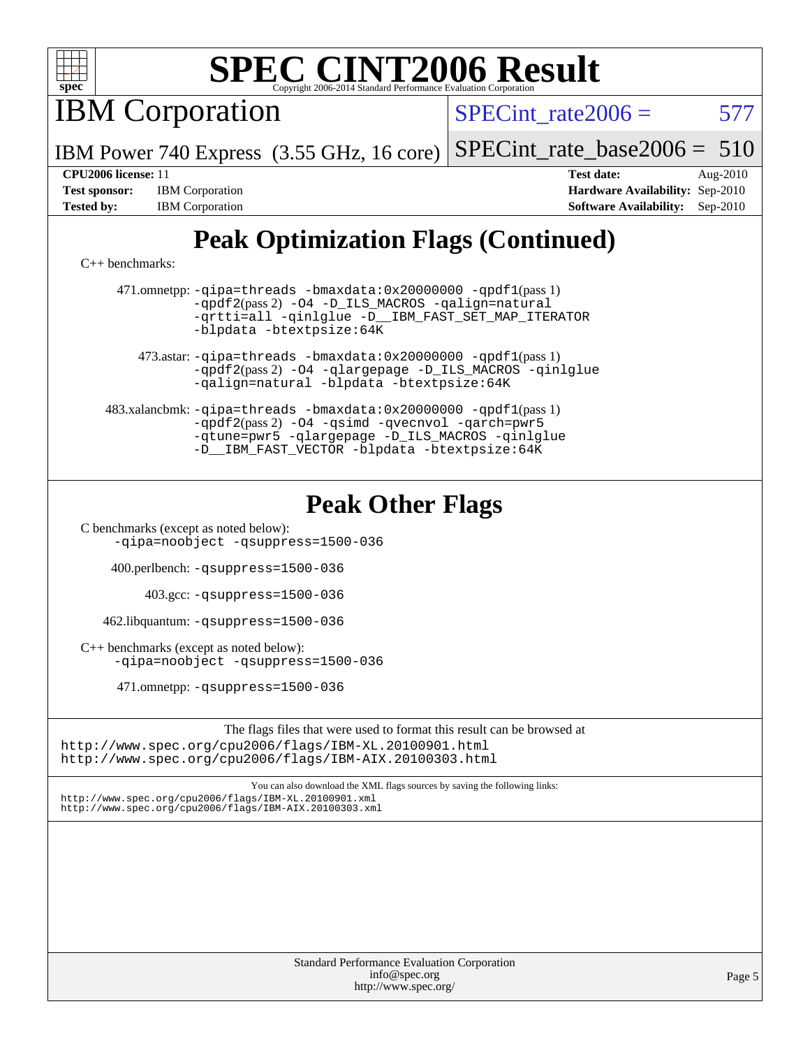

IBM Corporation

SPECint rate $2006 = 577$ 

IBM Power 740 Express (3.55 GHz, 16 core) [SPECint\\_rate\\_base2006 =](http://www.spec.org/auto/cpu2006/Docs/result-fields.html#SPECintratebase2006)  $510$ 

[Tested by:](http://www.spec.org/auto/cpu2006/Docs/result-fields.html#Testedby) IBM Corporation **[Software Availability:](http://www.spec.org/auto/cpu2006/Docs/result-fields.html#SoftwareAvailability)** Sep-2010

**[CPU2006 license:](http://www.spec.org/auto/cpu2006/Docs/result-fields.html#CPU2006license)** 11 **[Test date:](http://www.spec.org/auto/cpu2006/Docs/result-fields.html#Testdate)** Aug-2010 **[Test sponsor:](http://www.spec.org/auto/cpu2006/Docs/result-fields.html#Testsponsor)** IBM Corporation **[Hardware Availability:](http://www.spec.org/auto/cpu2006/Docs/result-fields.html#HardwareAvailability)** Sep-2010

# **[Peak Optimization Flags \(Continued\)](http://www.spec.org/auto/cpu2006/Docs/result-fields.html#PeakOptimizationFlags)**

[C++ benchmarks:](http://www.spec.org/auto/cpu2006/Docs/result-fields.html#CXXbenchmarks)

 471.omnetpp: [-qipa=threads](http://www.spec.org/cpu2006/results/res2010q3/cpu2006-20100817-12970.flags.html#user_peakLDCXXFLAGS471_omnetpp_F-qipa:threads_603896b7ba2615a272e7bb50a99fbe27) [-bmaxdata:0x20000000](http://www.spec.org/cpu2006/results/res2010q3/cpu2006-20100817-12970.flags.html#user_peakLDCXXFLAGS471_omnetpp_F-bmaxdata_d044a9072ff4d8b4577a1555c18c0756) [-qpdf1](http://www.spec.org/cpu2006/results/res2010q3/cpu2006-20100817-12970.flags.html#user_peakPASS1_CXXFLAGSPASS1_LDFLAGS471_omnetpp_F-qpdf1)(pass 1) [-qpdf2](http://www.spec.org/cpu2006/results/res2010q3/cpu2006-20100817-12970.flags.html#user_peakPASS2_CXXFLAGSPASS2_LDFLAGS471_omnetpp_F-qpdf2)(pass 2) [-O4](http://www.spec.org/cpu2006/results/res2010q3/cpu2006-20100817-12970.flags.html#user_peakOPTIMIZE471_omnetpp_F-O4_3f418155cbd5b07444f2de33eb26e195) [-D\\_ILS\\_MACROS](http://www.spec.org/cpu2006/results/res2010q3/cpu2006-20100817-12970.flags.html#user_peakCXXOPTIMIZE471_omnetpp_F-D_ILS_MACROS) [-qalign=natural](http://www.spec.org/cpu2006/results/res2010q3/cpu2006-20100817-12970.flags.html#user_peakCXXOPTIMIZE471_omnetpp_F-qalign_3ca7d9ddbda0cec4bfb6804fd18c32cc) [-qrtti=all](http://www.spec.org/cpu2006/results/res2010q3/cpu2006-20100817-12970.flags.html#user_peakCXXOPTIMIZE471_omnetpp_F-qrtti:all) [-qinlglue](http://www.spec.org/cpu2006/results/res2010q3/cpu2006-20100817-12970.flags.html#user_peakCXXOPTIMIZE471_omnetpp_F-qinlglue) [-D\\_\\_IBM\\_FAST\\_SET\\_MAP\\_ITERATOR](http://www.spec.org/cpu2006/results/res2010q3/cpu2006-20100817-12970.flags.html#user_peakCXXOPTIMIZE471_omnetpp_F-D__IBM_FAST_SET_MAP_ITERATOR) [-blpdata](http://www.spec.org/cpu2006/results/res2010q3/cpu2006-20100817-12970.flags.html#user_peakEXTRA_LDFLAGS471_omnetpp_F-blpdata) [-btextpsize:64K](http://www.spec.org/cpu2006/results/res2010q3/cpu2006-20100817-12970.flags.html#user_peakEXTRA_LDFLAGS471_omnetpp_F-btextpsize_915b2570bf0baabb03f1065583f9faaf)

 473.astar: [-qipa=threads](http://www.spec.org/cpu2006/results/res2010q3/cpu2006-20100817-12970.flags.html#user_peakLDCXXFLAGS473_astar_F-qipa:threads_603896b7ba2615a272e7bb50a99fbe27) [-bmaxdata:0x20000000](http://www.spec.org/cpu2006/results/res2010q3/cpu2006-20100817-12970.flags.html#user_peakLDCXXFLAGS473_astar_F-bmaxdata_d044a9072ff4d8b4577a1555c18c0756) [-qpdf1](http://www.spec.org/cpu2006/results/res2010q3/cpu2006-20100817-12970.flags.html#user_peakPASS1_LDFLAGS473_astar_F-qpdf1)(pass 1) [-qpdf2](http://www.spec.org/cpu2006/results/res2010q3/cpu2006-20100817-12970.flags.html#user_peakPASS2_LDFLAGS473_astar_F-qpdf2)(pass 2) [-O4](http://www.spec.org/cpu2006/results/res2010q3/cpu2006-20100817-12970.flags.html#user_peakOPTIMIZE473_astar_F-O4_3f418155cbd5b07444f2de33eb26e195) [-qlargepage](http://www.spec.org/cpu2006/results/res2010q3/cpu2006-20100817-12970.flags.html#user_peakOPTIMIZE473_astar_F-qlargepage) [-D\\_ILS\\_MACROS](http://www.spec.org/cpu2006/results/res2010q3/cpu2006-20100817-12970.flags.html#user_peakCXXOPTIMIZE473_astar_F-D_ILS_MACROS) [-qinlglue](http://www.spec.org/cpu2006/results/res2010q3/cpu2006-20100817-12970.flags.html#user_peakCXXOPTIMIZE473_astar_F-qinlglue) [-qalign=natural](http://www.spec.org/cpu2006/results/res2010q3/cpu2006-20100817-12970.flags.html#user_peakCXXOPTIMIZE473_astar_F-qalign_3ca7d9ddbda0cec4bfb6804fd18c32cc) [-blpdata](http://www.spec.org/cpu2006/results/res2010q3/cpu2006-20100817-12970.flags.html#user_peakEXTRA_LDFLAGS473_astar_F-blpdata) [-btextpsize:64K](http://www.spec.org/cpu2006/results/res2010q3/cpu2006-20100817-12970.flags.html#user_peakEXTRA_LDFLAGS473_astar_F-btextpsize_915b2570bf0baabb03f1065583f9faaf)

 483.xalancbmk: [-qipa=threads](http://www.spec.org/cpu2006/results/res2010q3/cpu2006-20100817-12970.flags.html#user_peakLDCXXFLAGS483_xalancbmk_F-qipa:threads_603896b7ba2615a272e7bb50a99fbe27) [-bmaxdata:0x20000000](http://www.spec.org/cpu2006/results/res2010q3/cpu2006-20100817-12970.flags.html#user_peakLDCXXFLAGS483_xalancbmk_F-bmaxdata_d044a9072ff4d8b4577a1555c18c0756) [-qpdf1](http://www.spec.org/cpu2006/results/res2010q3/cpu2006-20100817-12970.flags.html#user_peakPASS1_CXXFLAGSPASS1_LDFLAGS483_xalancbmk_F-qpdf1)(pass 1) [-qpdf2](http://www.spec.org/cpu2006/results/res2010q3/cpu2006-20100817-12970.flags.html#user_peakPASS2_CXXFLAGSPASS2_LDFLAGS483_xalancbmk_F-qpdf2)(pass 2) [-O4](http://www.spec.org/cpu2006/results/res2010q3/cpu2006-20100817-12970.flags.html#user_peakOPTIMIZE483_xalancbmk_F-O4_3f418155cbd5b07444f2de33eb26e195) [-qsimd](http://www.spec.org/cpu2006/results/res2010q3/cpu2006-20100817-12970.flags.html#user_peakOPTIMIZE483_xalancbmk_F-qsimd_a8e99c5325f711308b07d2b72634c9bd) [-qvecnvol](http://www.spec.org/cpu2006/results/res2010q3/cpu2006-20100817-12970.flags.html#user_peakOPTIMIZE483_xalancbmk_F-qvecnvol) [-qarch=pwr5](http://www.spec.org/cpu2006/results/res2010q3/cpu2006-20100817-12970.flags.html#user_peakOPTIMIZE483_xalancbmk_F-qarch_cdab548b0ce871c0726c2ca37e5b631a) [-qtune=pwr5](http://www.spec.org/cpu2006/results/res2010q3/cpu2006-20100817-12970.flags.html#user_peakOPTIMIZE483_xalancbmk_F-qtune_e1cd9d63947334d19effc56cd6defcb4) [-qlargepage](http://www.spec.org/cpu2006/results/res2010q3/cpu2006-20100817-12970.flags.html#user_peakOPTIMIZE483_xalancbmk_F-qlargepage) [-D\\_ILS\\_MACROS](http://www.spec.org/cpu2006/results/res2010q3/cpu2006-20100817-12970.flags.html#user_peakCXXOPTIMIZE483_xalancbmk_F-D_ILS_MACROS) [-qinlglue](http://www.spec.org/cpu2006/results/res2010q3/cpu2006-20100817-12970.flags.html#user_peakCXXOPTIMIZE483_xalancbmk_F-qinlglue) [-D\\_\\_IBM\\_FAST\\_VECTOR](http://www.spec.org/cpu2006/results/res2010q3/cpu2006-20100817-12970.flags.html#user_peakCXXOPTIMIZE483_xalancbmk_F-D__IBM_FAST_VECTOR) [-blpdata](http://www.spec.org/cpu2006/results/res2010q3/cpu2006-20100817-12970.flags.html#user_peakEXTRA_LDFLAGS483_xalancbmk_F-blpdata) [-btextpsize:64K](http://www.spec.org/cpu2006/results/res2010q3/cpu2006-20100817-12970.flags.html#user_peakEXTRA_LDFLAGS483_xalancbmk_F-btextpsize_915b2570bf0baabb03f1065583f9faaf)

### **[Peak Other Flags](http://www.spec.org/auto/cpu2006/Docs/result-fields.html#PeakOtherFlags)**

[C benchmarks \(except as noted below\)](http://www.spec.org/auto/cpu2006/Docs/result-fields.html#Cbenchmarksexceptasnotedbelow): [-qipa=noobject](http://www.spec.org/cpu2006/results/res2010q3/cpu2006-20100817-12970.flags.html#user_CCpeak_F-qipa:noobject_31d1c31721dc68bbebcc4af4e4e5db81) [-qsuppress=1500-036](http://www.spec.org/cpu2006/results/res2010q3/cpu2006-20100817-12970.flags.html#user_CCpeak_F-qsuppress:_a26be8fef57dc56862d3797b725f60c7)

400.perlbench: [-qsuppress=1500-036](http://www.spec.org/cpu2006/results/res2010q3/cpu2006-20100817-12970.flags.html#user_peakEXTRA_LDFLAGS400_perlbench_F-qsuppress:_a26be8fef57dc56862d3797b725f60c7)

403.gcc: [-qsuppress=1500-036](http://www.spec.org/cpu2006/results/res2010q3/cpu2006-20100817-12970.flags.html#user_peakEXTRA_LDFLAGS403_gcc_F-qsuppress:_a26be8fef57dc56862d3797b725f60c7)

462.libquantum: [-qsuppress=1500-036](http://www.spec.org/cpu2006/results/res2010q3/cpu2006-20100817-12970.flags.html#user_peakEXTRA_LDFLAGS462_libquantum_F-qsuppress:_a26be8fef57dc56862d3797b725f60c7)

[C++ benchmarks \(except as noted below\):](http://www.spec.org/auto/cpu2006/Docs/result-fields.html#CXXbenchmarksexceptasnotedbelow) [-qipa=noobject](http://www.spec.org/cpu2006/results/res2010q3/cpu2006-20100817-12970.flags.html#user_CXXpeak_F-qipa:noobject_31d1c31721dc68bbebcc4af4e4e5db81) [-qsuppress=1500-036](http://www.spec.org/cpu2006/results/res2010q3/cpu2006-20100817-12970.flags.html#user_CXXpeak_F-qsuppress:_a26be8fef57dc56862d3797b725f60c7)

471.omnetpp: [-qsuppress=1500-036](http://www.spec.org/cpu2006/results/res2010q3/cpu2006-20100817-12970.flags.html#user_peakEXTRA_LDFLAGS471_omnetpp_F-qsuppress:_a26be8fef57dc56862d3797b725f60c7)

The flags files that were used to format this result can be browsed at

<http://www.spec.org/cpu2006/flags/IBM-XL.20100901.html> <http://www.spec.org/cpu2006/flags/IBM-AIX.20100303.html>

You can also download the XML flags sources by saving the following links:

<http://www.spec.org/cpu2006/flags/IBM-XL.20100901.xml> <http://www.spec.org/cpu2006/flags/IBM-AIX.20100303.xml>